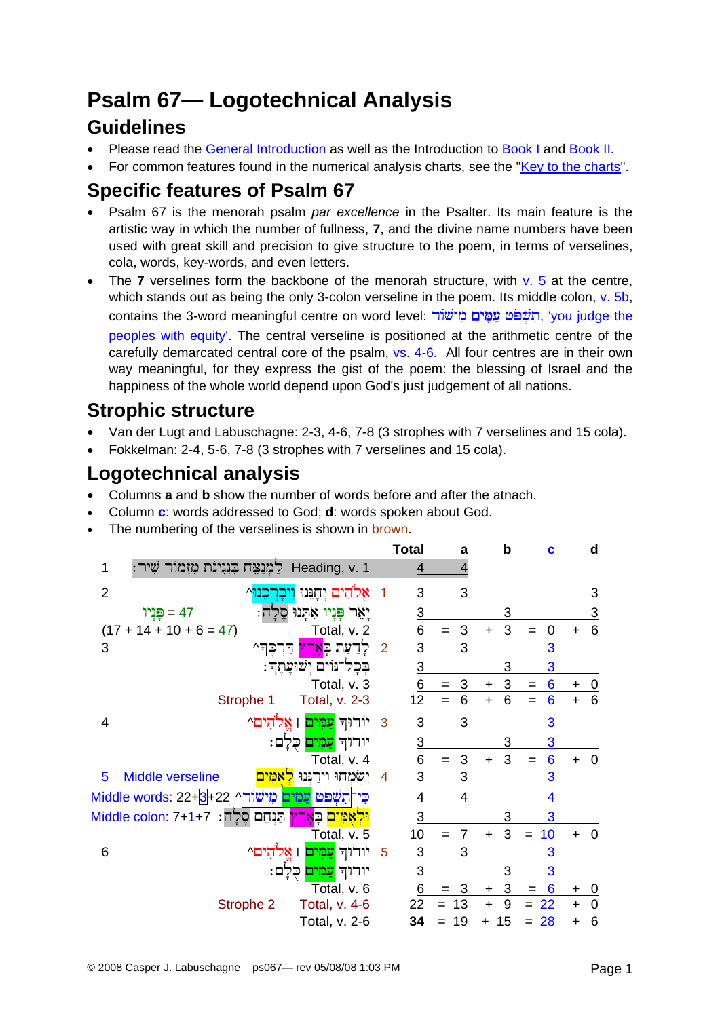# **Psalm 67-Logotechnical Analysis**

### **Guidelines**

- Please read the General Introduction as well as the Introduction to Book I and Book II.
- For common features found in the numerical analysis charts, see the "Key to the charts".

## Specific features of Psalm 67

- Psalm 67 is the menorah psalm par excellence in the Psalter. Its main feature is the artistic way in which the number of fullness, 7, and the divine name numbers have been used with great skill and precision to give structure to the poem, in terms of verselines, cola, words, key-words, and even letters.
- The 7 verselines form the backbone of the menorah structure, with  $v. 5$  at the centre, which stands out as being the only 3-colon verseline in the poem. Its middle colon, v. 5b, contains the 3-word meaningful centre on word level: תִשְׁפֹּט עֲמָים מְישׁוֹר, 'you judge the peoples with equity'. The central verseline is positioned at the arithmetic centre of the carefully demarcated central core of the psalm, vs. 4-6. All four centres are in their own way meaningful, for they express the gist of the poem: the blessing of Israel and the happiness of the whole world depend upon God's just judgement of all nations.

# **Strophic structure**

- Van der Lugt and Labuschagne: 2-3, 4-6, 7-8 (3 strophes with 7 verselines and 15 cola).
- Fokkelman: 2-4, 5-6, 7-8 (3 strophes with 7 verselines and 15 cola).

# **Logotechnical analysis**

- Columns a and b show the number of words before and after the atnach.  $\bullet$
- Column c: words addressed to God; d: words spoken about God.
- The numbering of the verselines is shown in brown.

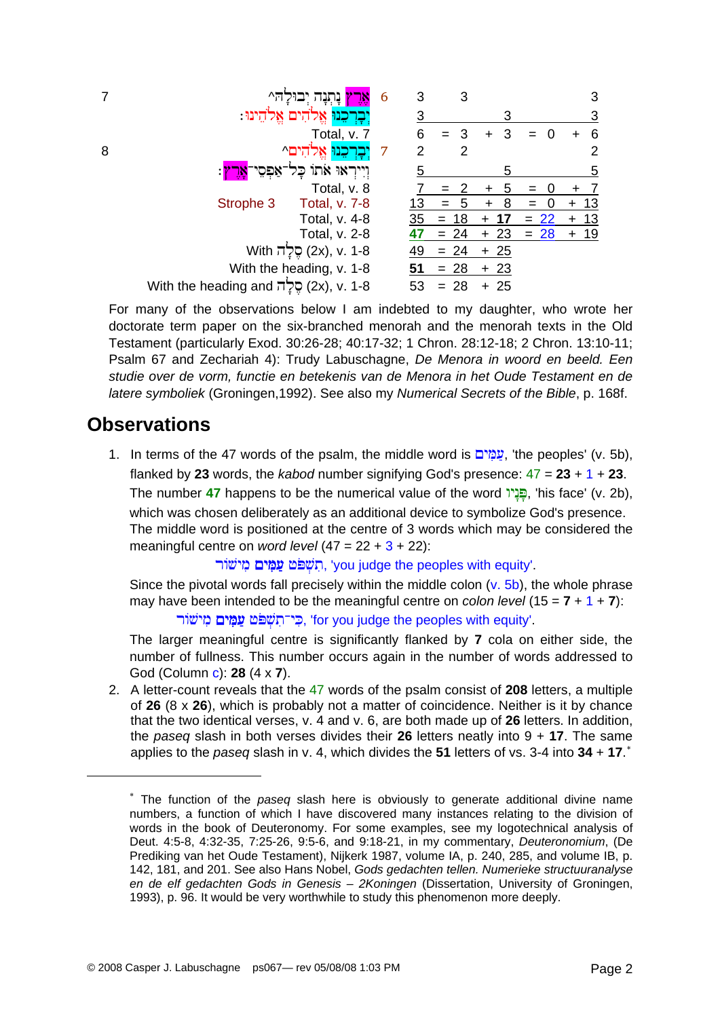For many of the observations below I am indebted to my daughter, who wrote her doctorate term paper on the six-branched menorah and the menorah texts in the Old Testament (particularly Exod. 30:26-28: 40:17-32: 1 Chron. 28:12-18: 2 Chron. 13:10-11: Psalm 67 and Zechariah 4): Trudy Labuschagne, De Menora in woord en beeld. Een studie over de vorm, functie en betekenis van de Menora in het Oude Testament en de latere symboliek (Groningen, 1992). See also my Numerical Secrets of the Bible, p. 168f.

#### **Observations**

1. In terms of the 47 words of the psalm, the middle word is עֲמָים, 'the peoples' (v. 5b), flanked by 23 words, the kabod number signifying God's presence:  $47 = 23 + 1 + 23$ . The number 47 happens to be the numerical value of the word הַּבָּיוֹ, 'his face' (v. 2b), which was chosen deliberately as an additional device to symbolize God's presence. The middle word is positioned at the centre of 3 words which may be considered the meaningful centre on *word level*  $(47 = 22 + 3 + 22)$ :

השפט עמים מישור. 'you judge the peoples with equity'.

Since the pivotal words fall precisely within the middle colon  $(v. 5b)$ , the whole phrase may have been intended to be the meaningful centre on colon level  $(15 = 7 + 1 + 7)$ : רי־תשׁפֿט עמים מישׂור. "for you judge the peoples with equity".

The larger meaningful centre is significantly flanked by 7 cola on either side, the number of fullness. This number occurs again in the number of words addressed to God (Column c): 28 (4 x 7).

2. A letter-count reveals that the 47 words of the psalm consist of 208 letters, a multiple of 26  $(8 \times 26)$ , which is probably not a matter of coincidence. Neither is it by chance that the two identical verses, v. 4 and v. 6, are both made up of 26 letters. In addition, the paseq slash in both verses divides their 26 letters neatly into  $9 + 17$ . The same applies to the paseq slash in v. 4, which divides the 51 letters of vs. 3-4 into 34 + 17. $^*$ 

<span id="page-1-0"></span><sup>\*</sup> The function of the paseq slash here is obviously to generate additional divine name numbers, a function of which I have discovered many instances relating to the division of words in the book of Deuteronomy. For some examples, see my logotechnical analysis of Deut. 4:5-8, 4:32-35, 7:25-26, 9:5-6, and 9:18-21, in my commentary, Deuteronomium, (De Prediking van het Oude Testament), Nijkerk 1987, volume IA, p. 240, 285, and volume IB, p. 142, 181, and 201. See also Hans Nobel, Gods gedachten tellen. Numerieke structuuranalyse en de elf gedachten Gods in Genesis - 2Koningen (Dissertation, University of Groningen, 1993), p. 96. It would be very worthwhile to study this phenomenon more deeply.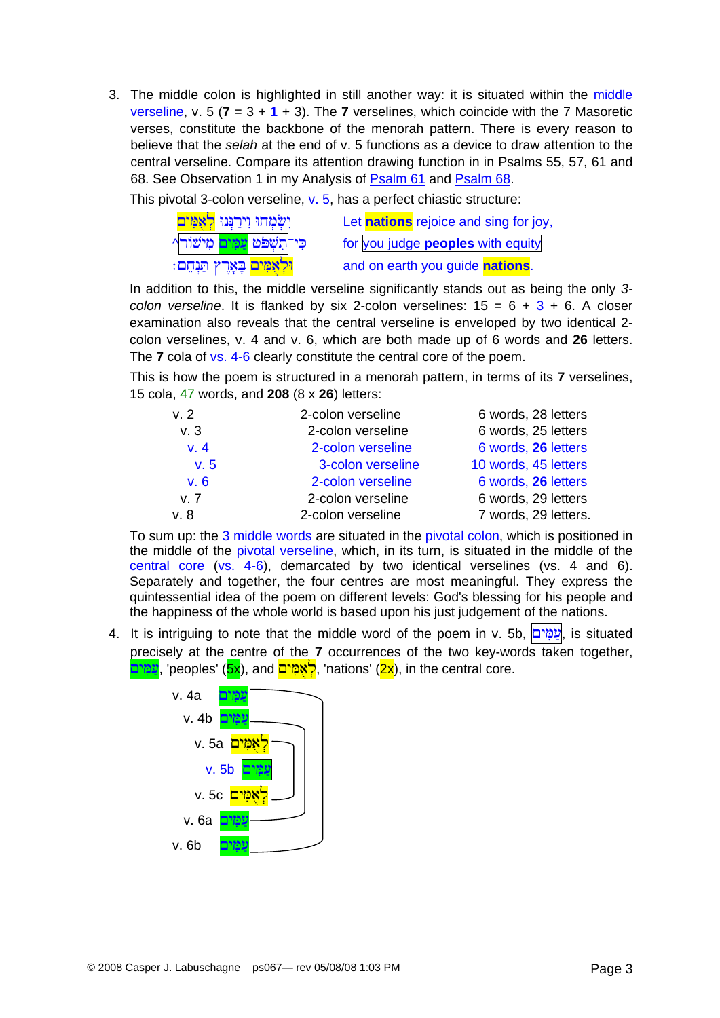3. The middle colon is highlighted in still another way: it is situated within the middle verseline, v. 5 ( $7 = 3 + 1 + 3$ ). The 7 verselines, which coincide with the 7 Masoretic verses, constitute the backbone of the menorah pattern. There is every reason to believe that the *selah* at the end of v. 5 functions as a device to draw attention to the central verseline. Compare its attention drawing function in in Psalms 55, 57, 61 and 68. See Observation 1 in my Analysis of [Psalm 61](http://www.labuschagne.nl/ps061.pdf) and [Psalm 68](http://www.labuschagne.nl/ps068.pdf).

This pivotal 3-colon verseline, v. 5, has a perfect chiastic structure:

| יִשְׂמָחוּ וִירַנְּנוּ <mark>לְאָמִים</mark> | Let <b>nations</b> rejoice and sing for joy, |
|----------------------------------------------|----------------------------------------------|
| כי־תְשָׁפּט <mark>עַמְים</mark> מְישׁור^     | for you judge <b>peoples</b> with equity     |
| <mark>וּלְאָמִים</mark> בְּאָרֶץ תַּנְחֵם:   | and on earth you guide nations.              |

In addition to this, the middle verseline significantly stands out as being the only *3 colon verseline*. It is flanked by six 2-colon verselines:  $15 = 6 + 3 + 6$ . A closer examination also reveals that the central verseline is enveloped by two identical 2 colon verselines, v. 4 and v. 6, which are both made up of 6 words and **26** letters. The **7** cola of vs. 4-6 clearly constitute the central core of the poem.

This is how the poem is structured in a menorah pattern, in terms of its **7** verselines, 15 cola, 47 words, and **208** (8 x **26**) letters:

| v.2  | 2-colon verseline | 6 words, 28 letters  |
|------|-------------------|----------------------|
| v.3  | 2-colon verseline | 6 words, 25 letters  |
| v.4  | 2-colon verseline | 6 words, 26 letters  |
| v.5  | 3-colon verseline | 10 words, 45 letters |
| v.6  | 2-colon verseline | 6 words, 26 letters  |
| v. 7 | 2-colon verseline | 6 words, 29 letters  |
| v. 8 | 2-colon verseline | 7 words, 29 letters. |

To sum up: the 3 middle words are situated in the pivotal colon, which is positioned in the middle of the pivotal verseline, which, in its turn, is situated in the middle of the central core (vs. 4-6), demarcated by two identical verselines (vs. 4 and 6). Separately and together, the four centres are most meaningful. They express the quintessential idea of the poem on different levels: God's blessing for his people and the happiness of the whole world is based upon his just judgement of the nations.

4. It is intriguing to note that the middle word of the poem in v. 5b, עמים, is situated precisely at the centre of the **7** occurrences of the two key-words taken together, <mark>לאמים</mark> (5x), and ל<mark>אמים,</mark> 'nations' (2x), in the central core.

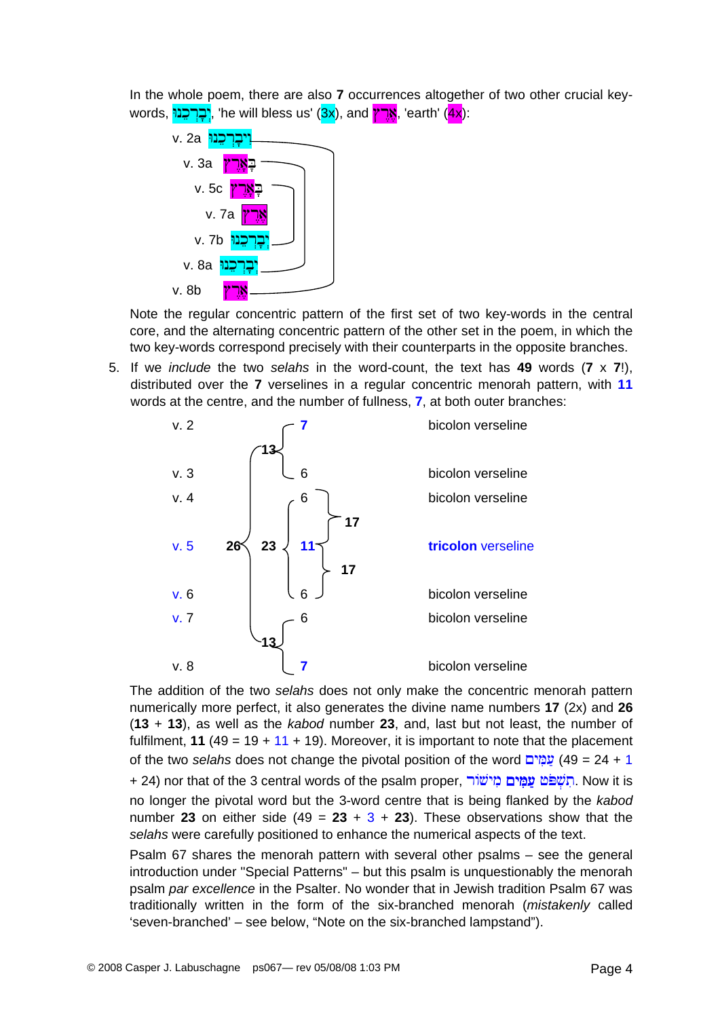In the whole poem, there are also **7** occurrences altogether of two other crucial keywords, **'ברכנו'**, 'he will bless us' (3x), and **ארץ**, 'earth' (4x):



Note the regular concentric pattern of the first set of two key-words in the central core, and the alternating concentric pattern of the other set in the poem, in which the two key-words correspond precisely with their counterparts in the opposite branches.

5. If we *include* the two *selahs* in the word-count, the text has **49** words (**7** x **7**!), distributed over the **7** verselines in a regular concentric menorah pattern, with **11** words at the centre, and the number of fullness, **7**, at both outer branches:



The addition of the two *selahs* does not only make the concentric menorah pattern numerically more perfect, it also generates the divine name numbers **17** (2x) and **26** (**13** + **13**), as well as the *kabod* number **23**, and, last but not least, the number of fulfilment, **11** (49 = 19 + 11 + 19). Moreover, it is important to note that the placement of the two *selahs* does not change the pivotal position of the word £yiGmav (49 = 24 + 1 + 24) nor that of the 3 central words of the psalm proper, תְשָׁפֹּט **עַמְים מִישׁוֹר**. Now it is no longer the pivotal word but the 3-word centre that is being flanked by the *kabod* number **23** on either side (49 =  $23 + 3 + 23$ ). These observations show that the *selahs* were carefully positioned to enhance the numerical aspects of the text.

Psalm 67 shares the menorah pattern with several other psalms – see the general introduction under "Special Patterns" – but this psalm is unquestionably the menorah psalm *par excellence* in the Psalter. No wonder that in Jewish tradition Psalm 67 was traditionally written in the form of the six-branched menorah (*mistakenly* called 'seven-branched' – see below, "Note on the six-branched lampstand").